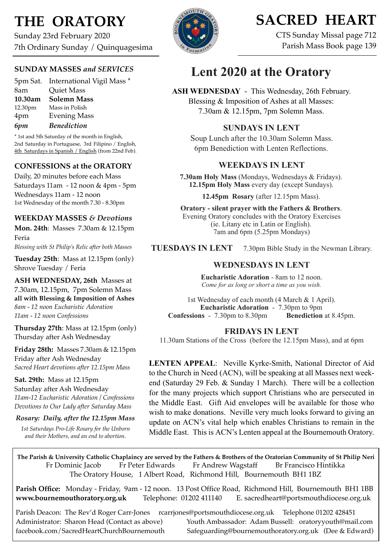# **THE ORATORY**

Sunday 23rd February 2020 7th Ordinary Sunday / Quinquagesima

## **SUNDAY MASSES** *and SERVICES*

5pm Sat. International Vigil Mass \* 8am Quiet Mass **10.30am Solemn Mass** 12.30pm Mass in Polish 4pm Evening Mass *6pm Benediction*

\* 1st and 5th Saturday of the month in English, 2nd Saturday in Portuguese, 3rd Filipino / English, 4th Saturdays in Spanish / English (from 22nd Feb).

### **CONFESSIONS at the ORATORY**

Daily, 20 minutes before each Mass Saturdays 11am - 12 noon & 4pm - 5pm Wednesdays 11am - 12 noon 1st Wednesday of the month 7.30 - 8.30pm

### **WEEKDAY MASSES** *& Devotions*

**Mon. 24th**: Masses 7.30am & 12.15pm Feria *Blessing with St Philip's Relic after both Masses*

**Tuesday 25th**: Mass at 12.15pm (only) Shrove Tuesday / Feria

**ASH WEDNESDAY, 26th** Masses at 7.30am, 12.15pm, 7pm Solemn Mass **all with Blessing & Imposition of Ashes** *8am - 12 noon Eucharistic Adoration 11am - 12 noon Confessions*

**Thursday 27th**: Mass at 12.15pm (only) Thursday after Ash Wednesday

**Friday 28th:** Masses 7.30am & 12.15pm Friday after Ash Wednesday *Sacred Heart devotions after 12.15pm Mass*

**Sat. 29th:** Mass at 12.15pm Saturday after Ash Wednesday *11am-12 Eucharistic Adoration / Confessions Devotions to Our Lady after Saturday Mass*

#### *Rosary: Daily, after the 12.15pm Mass*

*1st Saturdays Pro-Life Rosary for the Unborn and their Mothers, and an end to abortion.*

# **SACRED HEART**

CTS Sunday Missal page 712 Parish Mass Book page 139

# **Lent 2020 at the Oratory**

**ASH WEDNESDAY** - This Wednesday, 26th February. Blessing & Imposition of Ashes at all Masses: 7.30am & 12.15pm, 7pm Solemn Mass.

## **SUNDAYS IN LENT**

Soup Lunch after the 10.30am Solemn Mass. 6pm Benediction with Lenten Reflections.

## **WEEKDAYS IN LENT**

**7.30am Holy Mass** (Mondays, Wednesdays & Fridays). **12.15pm Holy Mass** every day (except Sundays).

**12.45pm Rosary** (after 12.15pm Mass).

**Oratory - silent prayer with the Fathers & Brothers**. Evening Oratory concludes with the Oratory Exercises (ie. Litany etc in Latin or English). 7am and 6pm (5.25pm Mondays)

**TUESDAYS IN LENT** 7.30pm Bible Study in the Newman Library.

## **WEDNESDAYS IN LENT**

**Eucharistic Adoration** - 8am to 12 noon. *Come for as long or short a time as you wish.*

1st Wednesday of each month (4 March & 1 April). **Eucharistic Adoration** - 7.30pm to 9pm **Confessions** - 7.30pm to 8.30pm **Benediction** at 8.45pm.

## **FRIDAYS IN LENT**

11.30am Stations of the Cross (before the 12.15pm Mass), and at 6pm

**LENTEN APPEAL**: Neville Kyrke-Smith, National Director of Aid to the Church in Need (ACN), will be speaking at all Masses next weekend (Saturday 29 Feb. & Sunday 1 March). There will be a collection for the many projects which support Christians who are persecuted in the Middle East. Gift Aid envelopes will be available for those who wish to make donations. Neville very much looks forward to giving an update on ACN's vital help which enables Christians to remain in the Middle East. This is ACN's Lenten appeal at the Bournemouth Oratory.

**The Parish & University Catholic Chaplaincy are served by the Fathers & Brothers of the Oratorian Community of St Philip Neri**  Fr Dominic Jacob Fr Peter Edwards Fr Andrew Wagstaff Br Francisco Hintikka The Oratory House, 1 Albert Road, Richmond Hill, Bournemouth BH1 1BZ

**Parish Office:** Monday - Friday, 9am - 12 noon. 13 Post Office Road, Richmond Hill, Bournemouth BH1 1BB **[www.bournemouthoratory.org.uk](http://www.bournemoithoratory.org.uk)** Telephone: 01202 411140 E. [sacredheart@portsmouthdiocese.org.uk](mailto:sacredheart@portsmouthdiocese.org.uk)

Parish Deacon: The Rev'd Roger Carr-Jones [rcarrjones@portsmouthdiocese.org.uk](mailto:rcarrjones@portsmouthdiocese.org.uk) Telephone 01202 428451 Administrator: Sharon Head (Contact as above) Youth Ambassador: Adam Bussell: [oratoryyouth@mail.com](http://oratoryyouth.mail.com) [facebook.com/SacredHeartChurchBournemouth](http://facebook.com/SaccredHeartChurchBournemouth) [Safeguarding@bournemouthoratory.org.uk](mailto:safeguarding@bournemouthoratory.org.uk) (Dee & Edward)